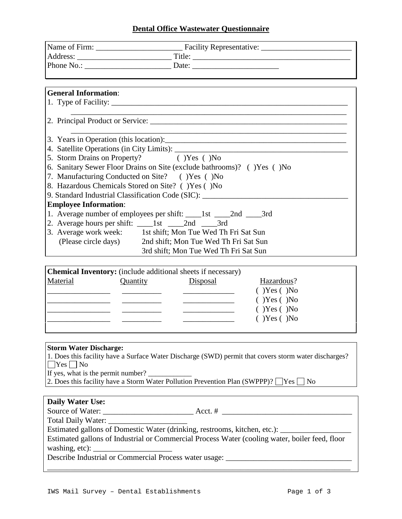### **Dental Office Wastewater Questionnaire**

| <b>General Information:</b>                       |                                                                                  |
|---------------------------------------------------|----------------------------------------------------------------------------------|
|                                                   |                                                                                  |
|                                                   |                                                                                  |
|                                                   |                                                                                  |
|                                                   |                                                                                  |
|                                                   |                                                                                  |
| 5. Storm Drains on Property? (1997) (1998) (1998) |                                                                                  |
|                                                   | 6. Sanitary Sewer Floor Drains on Site (exclude bathrooms)? () Yes () No         |
| 7. Manufacturing Conducted on Site? () Yes () No  |                                                                                  |
| 8. Hazardous Chemicals Stored on Site? ()Yes ()No |                                                                                  |
|                                                   | 9. Standard Industrial Classification Code (SIC): ______________________________ |
| <b>Employee Information:</b>                      |                                                                                  |
|                                                   | 1. Average number of employees per shift: _____1st _____2nd _____3rd             |
|                                                   |                                                                                  |
|                                                   | 3. Average work week: 1st shift; Mon Tue Wed Th Fri Sat Sun                      |
|                                                   | (Please circle days) 2nd shift; Mon Tue Wed Th Fri Sat Sun                       |
|                                                   | 3rd shift; Mon Tue Wed Th Fri Sat Sun                                            |

| <b>Chemical Inventory:</b> (include additional sheets if necessary) |          |          |                    |  |  |
|---------------------------------------------------------------------|----------|----------|--------------------|--|--|
| Material                                                            | Quantity | Disposal | Hazardous?         |  |  |
|                                                                     |          |          | $(Y)$ Yes $(Y)$ No |  |  |
|                                                                     |          |          | $(Y)$ Yes $(Y)$ No |  |  |
|                                                                     |          |          | $(Y)$ Yes $(Y)$ No |  |  |
|                                                                     |          |          | $(Y)$ Yes $(Y)$ No |  |  |
|                                                                     |          |          |                    |  |  |

#### **Storm Water Discharge:**

1. Does this facility have a Surface Water Discharge (SWD) permit that covers storm water discharges?  $\Box$ Yes  $\Box$  No

If yes, what is the permit number?

2. Does this facility have a Storm Water Pollution Prevention Plan (SWPPP)?  $\Box$  Yes  $\Box$  No

### **Daily Water Use:**

Source of Water: \_\_\_\_\_\_\_\_\_\_\_\_\_\_\_\_\_\_\_\_\_\_\_ Acct. # \_\_\_\_\_\_\_\_\_\_\_\_\_\_\_\_\_\_\_\_\_\_\_\_\_\_\_\_\_\_\_\_\_

Total Daily Water: \_\_\_\_\_\_\_\_\_\_\_\_\_\_\_\_\_\_\_\_

Estimated gallons of Domestic Water (drinking, restrooms, kitchen, etc.): \_\_\_\_\_\_\_\_\_\_\_\_\_\_\_\_\_\_

Estimated gallons of Industrial or Commercial Process Water (cooling water, boiler feed, floor washing, etc): \_\_\_\_\_\_\_\_\_\_\_\_\_\_\_\_\_\_\_\_

\_\_\_\_\_\_\_\_\_\_\_\_\_\_\_\_\_\_\_\_\_\_\_\_\_\_\_\_\_\_\_\_\_\_\_\_\_\_\_\_\_\_\_\_\_\_\_\_\_\_\_\_\_\_\_\_\_\_\_\_\_\_\_\_\_\_\_\_\_\_\_\_\_\_\_\_\_

Describe Industrial or Commercial Process water usage: \_\_\_\_\_\_\_\_\_\_\_\_\_\_\_\_\_\_\_\_\_\_\_\_\_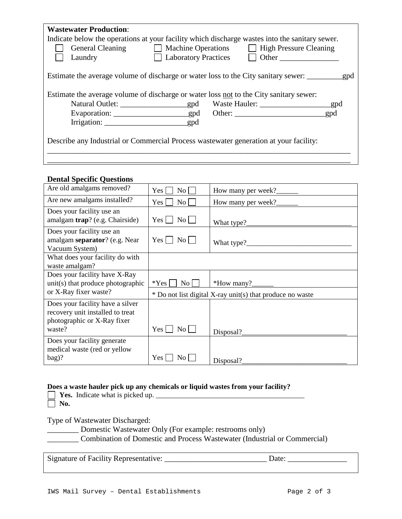| <b>Wastewater Production:</b><br>Indicate below the operations at your facility which discharge wastes into the sanitary sewer.<br><b>General Cleaning</b><br>Laundry | <b>Laboratory Practices</b> | Machine Operations High Pressure Cleaning<br>$\Box$ Other |  |
|-----------------------------------------------------------------------------------------------------------------------------------------------------------------------|-----------------------------|-----------------------------------------------------------|--|
|                                                                                                                                                                       |                             |                                                           |  |
| Estimate the average volume of discharge or water loss not to the City sanitary sewer:                                                                                |                             |                                                           |  |
| Describe any Industrial or Commercial Process was tewater generation at your facility:                                                                                |                             |                                                           |  |
|                                                                                                                                                                       |                             |                                                           |  |

## **Dental Specific Questions**

| Are old amalgams removed?                                                                           | No<br>Yes                           | How many per week?                                        |
|-----------------------------------------------------------------------------------------------------|-------------------------------------|-----------------------------------------------------------|
| Are new amalgams installed?                                                                         | $\overline{N_{0}}$<br>Yes           | How many per week?                                        |
| Does your facility use an<br>amalgam trap? (e.g. Chairside)                                         | No<br>Yes                           |                                                           |
| Does your facility use an<br>amalgam separator? (e.g. Near<br>Vacuum System)                        | $Yes \mid \mid$<br>$\overline{N_0}$ |                                                           |
| What does your facility do with<br>waste amalgam?                                                   |                                     |                                                           |
| Does your facility have X-Ray<br>unit(s) that produce photographic                                  | $*Yes$<br>$\overline{N_{O}}$        | *How many? $\frac{1}{\sqrt{2\pi}}$                        |
| or X-Ray fixer waste?                                                                               |                                     | * Do not list digital X-ray unit(s) that produce no waste |
| Does your facility have a silver<br>recovery unit installed to treat<br>photographic or X-Ray fixer |                                     |                                                           |
| waste?                                                                                              | Yes<br>No                           | Disposal?                                                 |
| Does your facility generate<br>medical waste (red or yellow                                         |                                     |                                                           |
| bag)?                                                                                               | <b>Yes</b><br>No                    | Disposal?                                                 |

# **Does a waste hauler pick up any chemicals or liquid wastes from your facility?** Indicate what is picked up.

Type of Wastewater Discharged:

**Example:** Domestic Wastewater Only (For example: restrooms only)

\_\_\_\_\_\_\_\_ Combination of Domestic and Process Wastewater (Industrial or Commercial)

Signature of Facility Representative: \_\_\_\_\_\_\_\_\_\_\_\_\_\_\_\_\_\_\_\_\_\_\_\_\_\_ Date: \_\_\_\_\_\_\_\_\_\_\_\_\_\_\_